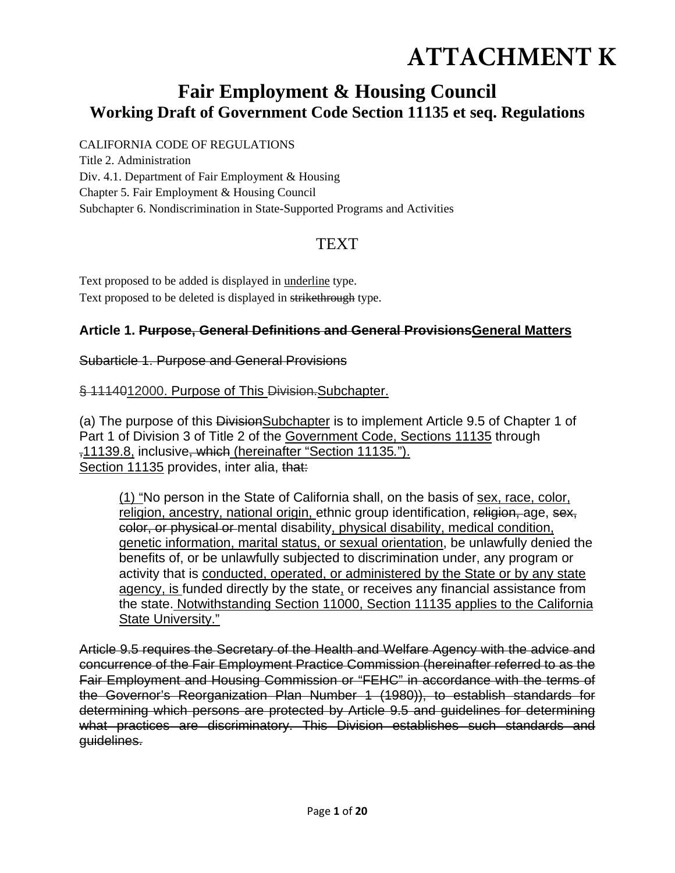# **ATTACHMENT K**

## **Fair Employment & Housing Council Working Draft of Government Code Section 11135 et seq. Regulations**

CALIFORNIA CODE OF REGULATIONS Title 2. Administration Div. 4.1. Department of Fair Employment & Housing Chapter 5. Fair Employment & Housing Council Subchapter 6. Nondiscrimination in State-Supported Programs and Activities

## TEXT

Text proposed to be added is displayed in underline type. Text proposed to be deleted is displayed in strikethrough type.

#### **Article 1. Purpose, General Definitions and General ProvisionsGeneral Matters**

#### Subarticle 1. Purpose and General Provisions

#### § 1114012000. Purpose of This Division-Subchapter.

(a) The purpose of this Division Subchapter is to implement Article 9.5 of Chapter 1 of Part 1 of Division 3 of Title 2 of the Government Code, Sections 11135 through ,11139.8, inclusive, which (hereinafter "Section 11135*.*"). Section 11135 provides, inter alia, that:

(1) "No person in the State of California shall, on the basis of sex, race, color, religion, ancestry, national origin, ethnic group identification, religion, age, sex, color, or physical or mental disability, physical disability, medical condition, genetic information, marital status, or sexual orientation, be unlawfully denied the benefits of, or be unlawfully subjected to discrimination under, any program or activity that is conducted, operated, or administered by the State or by any state agency, is funded directly by the state, or receives any financial assistance from the state. Notwithstanding Section 11000, Section 11135 applies to the California State University."

Article 9.5 requires the Secretary of the Health and Welfare Agency with the advice and concurrence of the Fair Employment Practice Commission (hereinafter referred to as the Fair Employment and Housing Commission or "FEHC" in accordance with the terms of the Governor's Reorganization Plan Number 1 (1980)), to establish standards for determining which persons are protected by Article 9.5 and guidelines for determining what practices are discriminatory. This Division establishes such standards and guidelines.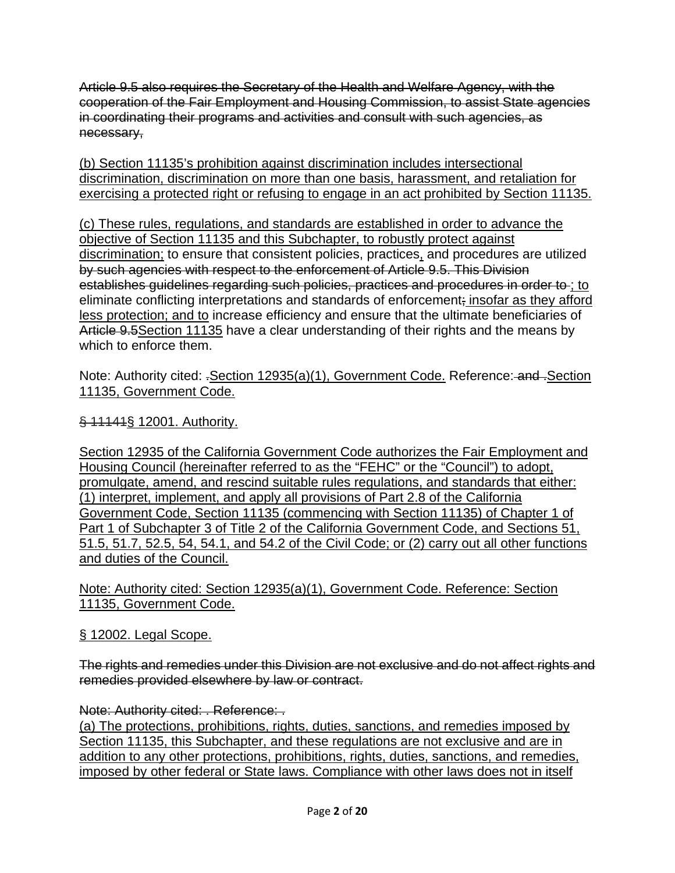Article 9.5 also requires the Secretary of the Health and Welfare Agency, with the cooperation of the Fair Employment and Housing Commission, to assist State agencies in coordinating their programs and activities and consult with such agencies, as necessary,

(b) Section 11135's prohibition against discrimination includes intersectional discrimination, discrimination on more than one basis, harassment, and retaliation for exercising a protected right or refusing to engage in an act prohibited by Section 11135.

(c) These rules, regulations, and standards are established in order to advance the objective of Section 11135 and this Subchapter, to robustly protect against discrimination; to ensure that consistent policies, practices, and procedures are utilized by such agencies with respect to the enforcement of Article 9.5. This Division establishes guidelines regarding such policies, practices and procedures in order to ; to eliminate conflicting interpretations and standards of enforcement; insofar as they afford less protection; and to increase efficiency and ensure that the ultimate beneficiaries of Article 9.5 Section 11135 have a clear understanding of their rights and the means by which to enforce them.

Note: Authority cited: .Section 12935(a)(1), Government Code. Reference: and .Section 11135, Government Code.

§ 11141§ 12001. Authority.

Section 12935 of the California Government Code authorizes the Fair Employment and Housing Council (hereinafter referred to as the "FEHC" or the "Council") to adopt, promulgate, amend, and rescind suitable rules regulations, and standards that either: (1) interpret, implement, and apply all provisions of Part 2.8 of the California Government Code, Section 11135 (commencing with Section 11135) of Chapter 1 of Part 1 of Subchapter 3 of Title 2 of the California Government Code, and Sections 51, 51.5, 51.7, 52.5, 54, 54.1, and 54.2 of the Civil Code; or (2) carry out all other functions and duties of the Council.

Note: Authority cited: Section 12935(a)(1), Government Code. Reference: Section 11135, Government Code.

#### § 12002. Legal Scope.

The rights and remedies under this Division are not exclusive and do not affect rights and remedies provided elsewhere by law or contract.

#### Note: Authority cited: . Reference: .

(a) The protections, prohibitions, rights, duties, sanctions, and remedies imposed by Section 11135, this Subchapter, and these regulations are not exclusive and are in addition to any other protections, prohibitions, rights, duties, sanctions, and remedies, imposed by other federal or State laws. Compliance with other laws does not in itself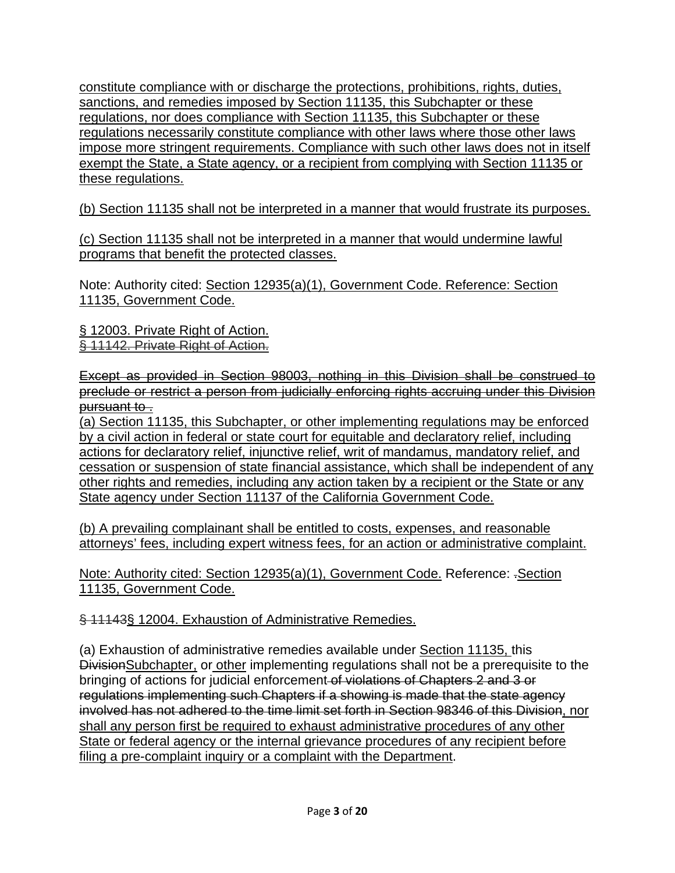constitute compliance with or discharge the protections, prohibitions, rights, duties, sanctions, and remedies imposed by Section 11135, this Subchapter or these regulations, nor does compliance with Section 11135, this Subchapter or these regulations necessarily constitute compliance with other laws where those other laws impose more stringent requirements. Compliance with such other laws does not in itself exempt the State, a State agency, or a recipient from complying with Section 11135 or these regulations.

(b) Section 11135 shall not be interpreted in a manner that would frustrate its purposes.

(c) Section 11135 shall not be interpreted in a manner that would undermine lawful programs that benefit the protected classes.

Note: Authority cited: Section 12935(a)(1), Government Code. Reference: Section 11135, Government Code.

§ 12003. Private Right of Action. § 11142. Private Right of Action.

Except as provided in Section 98003, nothing in this Division shall be construed to preclude or restrict a person from judicially enforcing rights accruing under this Division pursuant to .

(a) Section 11135, this Subchapter, or other implementing regulations may be enforced by a civil action in federal or state court for equitable and declaratory relief, including actions for declaratory relief, injunctive relief, writ of mandamus, mandatory relief, and cessation or suspension of state financial assistance, which shall be independent of any other rights and remedies, including any action taken by a recipient or the State or any State agency under Section 11137 of the California Government Code.

(b) A prevailing complainant shall be entitled to costs, expenses, and reasonable attorneys' fees, including expert witness fees, for an action or administrative complaint.

Note: Authority cited: Section 12935(a)(1), Government Code. Reference: .Section 11135, Government Code.

§ 11143§ 12004. Exhaustion of Administrative Remedies.

(a) Exhaustion of administrative remedies available under Section 11135, this DivisionSubchapter, or other implementing regulations shall not be a prerequisite to the bringing of actions for judicial enforcement of violations of Chapters 2 and 3 or regulations implementing such Chapters if a showing is made that the state agency involved has not adhered to the time limit set forth in Section 98346 of this Division, nor shall any person first be required to exhaust administrative procedures of any other State or federal agency or the internal grievance procedures of any recipient before filing a pre-complaint inquiry or a complaint with the Department.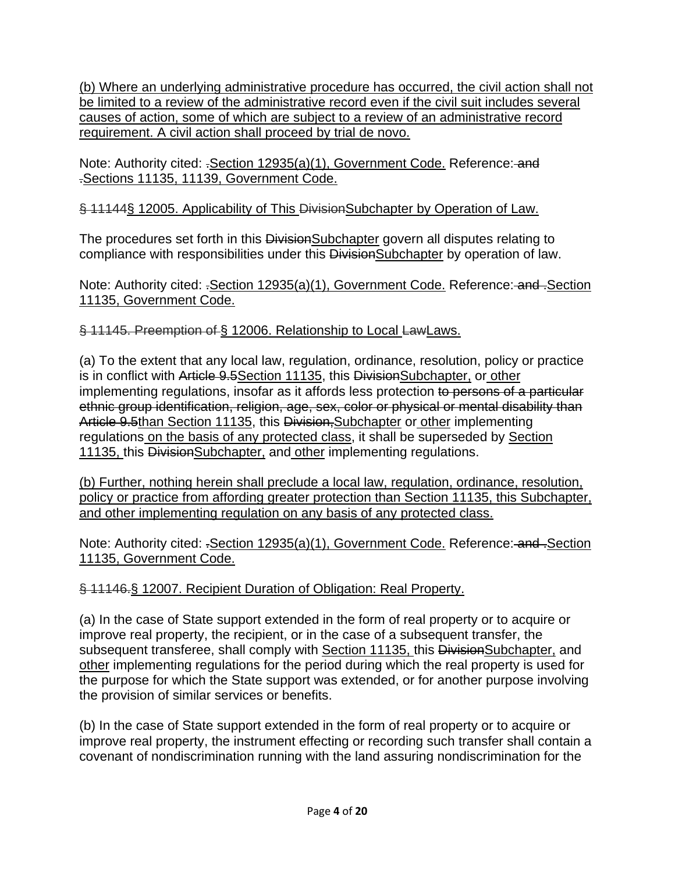(b) Where an underlying administrative procedure has occurred, the civil action shall not be limited to a review of the administrative record even if the civil suit includes several causes of action, some of which are subject to a review of an administrative record requirement. A civil action shall proceed by trial de novo.

Note: Authority cited: .*Section 12935(a)(1)*, Government Code. Reference: and .Sections 11135, 11139, Government Code.

§ 11144§ 12005. Applicability of This DivisionSubchapter by Operation of Law.

The procedures set forth in this DivisionSubchapter govern all disputes relating to compliance with responsibilities under this DivisionSubchapter by operation of law.

Note: Authority cited: .Section 12935(a)(1), Government Code. Reference: and .Section 11135, Government Code.

§ 11145. Preemption of § 12006. Relationship to Local LawLaws.

(a) To the extent that any local law, regulation, ordinance, resolution, policy or practice is in conflict with Article 9.5Section 11135, this DivisionSubchapter, or other implementing regulations, insofar as it affords less protection to persons of a particular ethnic group identification, religion, age, sex, color or physical or mental disability than Article 9.5than Section 11135, this Division, Subchapter or other implementing regulations on the basis of any protected class, it shall be superseded by Section 11135, this DivisionSubchapter, and other implementing regulations.

(b) Further, nothing herein shall preclude a local law, regulation, ordinance, resolution, policy or practice from affording greater protection than Section 11135, this Subchapter, and other implementing regulation on any basis of any protected class.

Note: Authority cited: .Section 12935(a)(1), Government Code. Reference: and .Section 11135, Government Code.

### § 11146.§ 12007. Recipient Duration of Obligation: Real Property.

(a) In the case of State support extended in the form of real property or to acquire or improve real property, the recipient, or in the case of a subsequent transfer, the subsequent transferee, shall comply with Section 11135, this DivisionSubchapter, and other implementing regulations for the period during which the real property is used for the purpose for which the State support was extended, or for another purpose involving the provision of similar services or benefits.

(b) In the case of State support extended in the form of real property or to acquire or improve real property, the instrument effecting or recording such transfer shall contain a covenant of nondiscrimination running with the land assuring nondiscrimination for the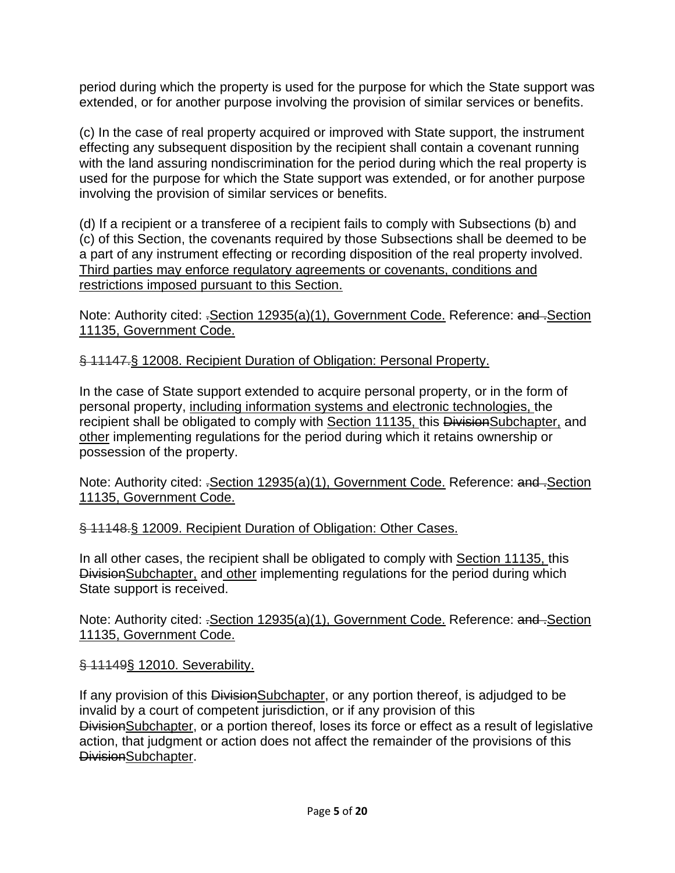period during which the property is used for the purpose for which the State support was extended, or for another purpose involving the provision of similar services or benefits.

(c) In the case of real property acquired or improved with State support, the instrument effecting any subsequent disposition by the recipient shall contain a covenant running with the land assuring nondiscrimination for the period during which the real property is used for the purpose for which the State support was extended, or for another purpose involving the provision of similar services or benefits.

(d) If a recipient or a transferee of a recipient fails to comply with Subsections (b) and (c) of this Section, the covenants required by those Subsections shall be deemed to be a part of any instrument effecting or recording disposition of the real property involved. Third parties may enforce regulatory agreements or covenants, conditions and restrictions imposed pursuant to this Section.

Note: Authority cited: .Section 12935(a)(1), Government Code. Reference: and .Section 11135, Government Code.

#### § 11147.§ 12008. Recipient Duration of Obligation: Personal Property.

In the case of State support extended to acquire personal property, or in the form of personal property, including information systems and electronic technologies, the recipient shall be obligated to comply with Section 11135, this DivisionSubchapter, and other implementing regulations for the period during which it retains ownership or possession of the property.

Note: Authority cited: .Section 12935(a)(1), Government Code. Reference: and .Section 11135, Government Code.

§ 11148.§ 12009. Recipient Duration of Obligation: Other Cases.

In all other cases, the recipient shall be obligated to comply with Section 11135, this DivisionSubchapter, and other implementing regulations for the period during which State support is received.

Note: Authority cited: .Section 12935(a)(1), Government Code. Reference: and .Section 11135, Government Code.

§ 11149§ 12010. Severability.

If any provision of this Division Subchapter, or any portion thereof, is adjudged to be invalid by a court of competent jurisdiction, or if any provision of this DivisionSubchapter, or a portion thereof, loses its force or effect as a result of legislative action, that judgment or action does not affect the remainder of the provisions of this DivisionSubchapter.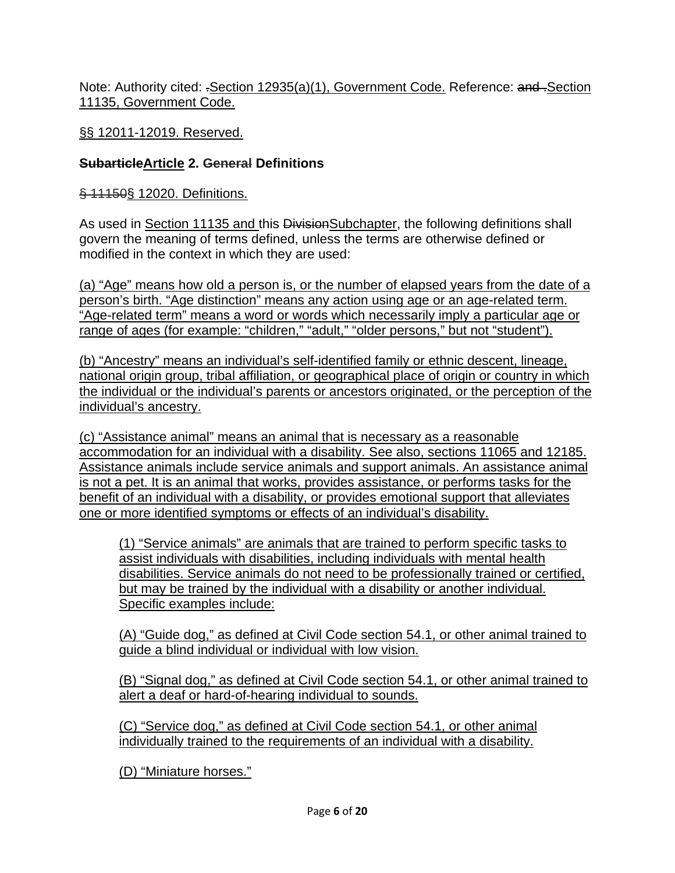Note: Authority cited: .Section 12935(a)(1), Government Code. Reference: and .Section 11135, Government Code.

§§ 12011-12019. Reserved.

#### **SubarticleArticle 2. General Definitions**

§ 11150§ 12020. Definitions.

As used in Section 11135 and this DivisionSubchapter, the following definitions shall govern the meaning of terms defined, unless the terms are otherwise defined or modified in the context in which they are used:

(a) "Age" means how old a person is, or the number of elapsed years from the date of a person's birth. "Age distinction" means any action using age or an age-related term. "Age-related term" means a word or words which necessarily imply a particular age or range of ages (for example: "children," "adult," "older persons," but not "student").

(b) "Ancestry" means an individual's self-identified family or ethnic descent, lineage, national origin group, tribal affiliation, or geographical place of origin or country in which the individual or the individual's parents or ancestors originated, or the perception of the individual's ancestry.

(c) "Assistance animal" means an animal that is necessary as a reasonable accommodation for an individual with a disability. See also, sections 11065 and 12185. Assistance animals include service animals and support animals. An assistance animal is not a pet. It is an animal that works, provides assistance, or performs tasks for the benefit of an individual with a disability, or provides emotional support that alleviates one or more identified symptoms or effects of an individual's disability.

(1) "Service animals" are animals that are trained to perform specific tasks to assist individuals with disabilities, including individuals with mental health disabilities. Service animals do not need to be professionally trained or certified, but may be trained by the individual with a disability or another individual. Specific examples include:

(A) "Guide dog," as defined at Civil Code section 54.1, or other animal trained to guide a blind individual or individual with low vision.

(B) "Signal dog," as defined at Civil Code section 54.1, or other animal trained to alert a deaf or hard-of-hearing individual to sounds.

(C) "Service dog," as defined at Civil Code section 54.1, or other animal individually trained to the requirements of an individual with a disability.

(D) "Miniature horses."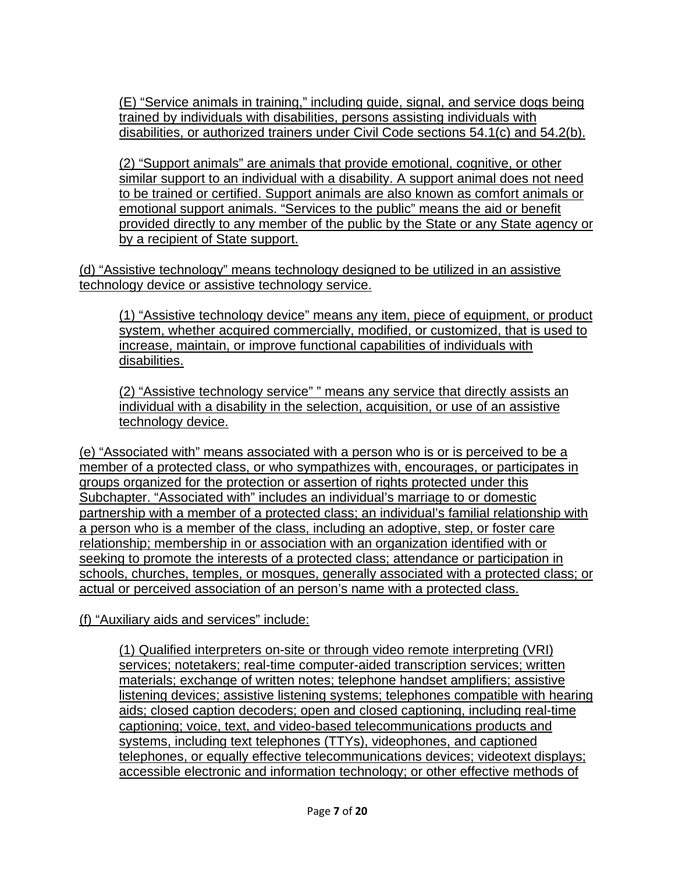(E) "Service animals in training," including guide, signal, and service dogs being trained by individuals with disabilities, persons assisting individuals with disabilities, or authorized trainers under Civil Code sections 54.1(c) and 54.2(b).

(2) "Support animals" are animals that provide emotional, cognitive, or other similar support to an individual with a disability. A support animal does not need to be trained or certified. Support animals are also known as comfort animals or emotional support animals. "Services to the public" means the aid or benefit provided directly to any member of the public by the State or any State agency or by a recipient of State support.

(d) "Assistive technology" means technology designed to be utilized in an assistive technology device or assistive technology service.

(1) "Assistive technology device" means any item, piece of equipment, or product system, whether acquired commercially, modified, or customized, that is used to increase, maintain, or improve functional capabilities of individuals with disabilities.

(2) "Assistive technology service" " means any service that directly assists an individual with a disability in the selection, acquisition, or use of an assistive technology device.

(e) "Associated with" means associated with a person who is or is perceived to be a member of a protected class, or who sympathizes with, encourages, or participates in groups organized for the protection or assertion of rights protected under this Subchapter. "Associated with" includes an individual's marriage to or domestic partnership with a member of a protected class; an individual's familial relationship with a person who is a member of the class, including an adoptive, step, or foster care relationship; membership in or association with an organization identified with or seeking to promote the interests of a protected class; attendance or participation in schools, churches, temples, or mosques, generally associated with a protected class; or actual or perceived association of an person's name with a protected class.

(f) "Auxiliary aids and services" include:

(1) Qualified interpreters on-site or through video remote interpreting (VRI) services; notetakers; real-time computer-aided transcription services; written materials; exchange of written notes; telephone handset amplifiers; assistive listening devices; assistive listening systems; telephones compatible with hearing aids; closed caption decoders; open and closed captioning, including real-time captioning; voice, text, and video-based telecommunications products and systems, including text telephones (TTYs), videophones, and captioned telephones, or equally effective telecommunications devices; videotext displays; accessible electronic and information technology; or other effective methods of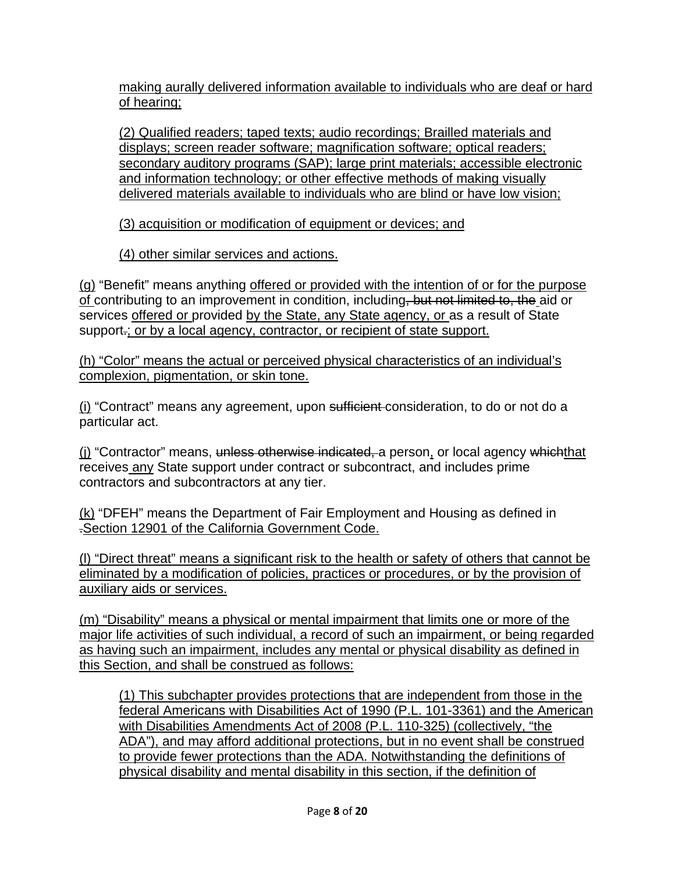making aurally delivered information available to individuals who are deaf or hard of hearing;

(2) Qualified readers; taped texts; audio recordings; Brailled materials and displays; screen reader software; magnification software; optical readers; secondary auditory programs (SAP); large print materials; accessible electronic and information technology; or other effective methods of making visually delivered materials available to individuals who are blind or have low vision;

(3) acquisition or modification of equipment or devices; and

(4) other similar services and actions.

(g) "Benefit" means anything offered or provided with the intention of or for the purpose of contributing to an improvement in condition, including, but not limited to, the aid or services offered or provided by the State, any State agency, or as a result of State support.; or by a local agency, contractor, or recipient of state support.

(h) "Color" means the actual or perceived physical characteristics of an individual's complexion, pigmentation, or skin tone.

(i) "Contract" means any agreement, upon sufficient consideration, to do or not do a particular act.

(j) "Contractor" means, unless otherwise indicated, a person, or local agency whichthat receives any State support under contract or subcontract, and includes prime contractors and subcontractors at any tier.

(k) "DFEH" means the Department of Fair Employment and Housing as defined in .Section 12901 of the California Government Code.

(l) "Direct threat" means a significant risk to the health or safety of others that cannot be eliminated by a modification of policies, practices or procedures, or by the provision of auxiliary aids or services.

(m) "Disability" means a physical or mental impairment that limits one or more of the major life activities of such individual, a record of such an impairment, or being regarded as having such an impairment, includes any mental or physical disability as defined in this Section, and shall be construed as follows:

(1) This subchapter provides protections that are independent from those in the federal Americans with Disabilities Act of 1990 (P.L. 101-3361) and the American with Disabilities Amendments Act of 2008 (P.L. 110-325) (collectively, "the ADA"), and may afford additional protections, but in no event shall be construed to provide fewer protections than the ADA. Notwithstanding the definitions of physical disability and mental disability in this section, if the definition of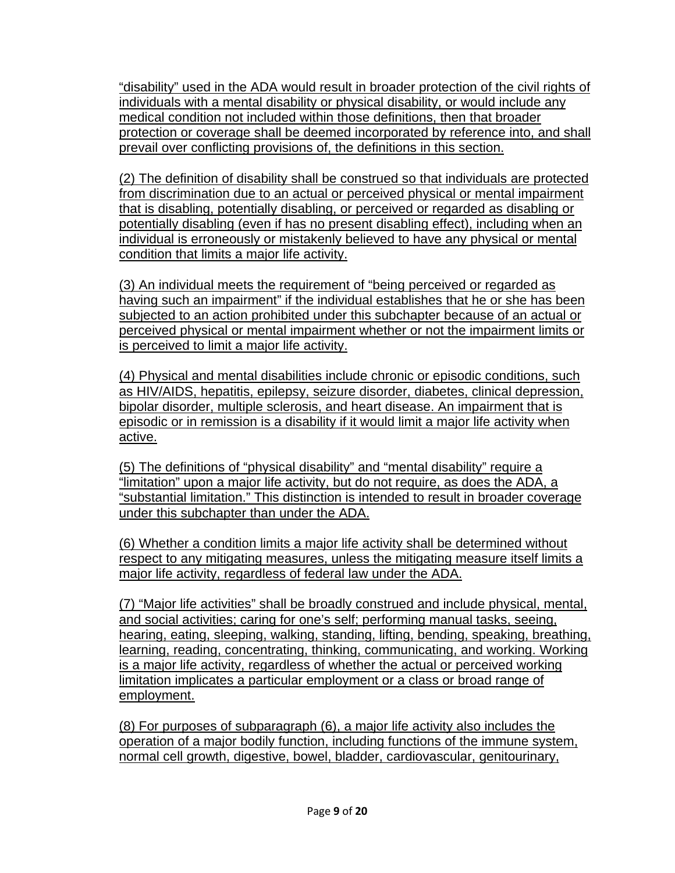"disability" used in the ADA would result in broader protection of the civil rights of individuals with a mental disability or physical disability, or would include any medical condition not included within those definitions, then that broader protection or coverage shall be deemed incorporated by reference into, and shall prevail over conflicting provisions of, the definitions in this section.

(2) The definition of disability shall be construed so that individuals are protected from discrimination due to an actual or perceived physical or mental impairment that is disabling, potentially disabling, or perceived or regarded as disabling or potentially disabling (even if has no present disabling effect), including when an individual is erroneously or mistakenly believed to have any physical or mental condition that limits a major life activity.

(3) An individual meets the requirement of "being perceived or regarded as having such an impairment" if the individual establishes that he or she has been subjected to an action prohibited under this subchapter because of an actual or perceived physical or mental impairment whether or not the impairment limits or is perceived to limit a major life activity.

(4) Physical and mental disabilities include chronic or episodic conditions, such as HIV/AIDS, hepatitis, epilepsy, seizure disorder, diabetes, clinical depression, bipolar disorder, multiple sclerosis, and heart disease. An impairment that is episodic or in remission is a disability if it would limit a major life activity when active.

(5) The definitions of "physical disability" and "mental disability" require a "limitation" upon a major life activity, but do not require, as does the ADA, a "substantial limitation." This distinction is intended to result in broader coverage under this subchapter than under the ADA.

(6) Whether a condition limits a major life activity shall be determined without respect to any mitigating measures, unless the mitigating measure itself limits a major life activity, regardless of federal law under the ADA.

(7) "Major life activities" shall be broadly construed and include physical, mental, and social activities; caring for one's self; performing manual tasks, seeing, hearing, eating, sleeping, walking, standing, lifting, bending, speaking, breathing, learning, reading, concentrating, thinking, communicating, and working. Working is a major life activity, regardless of whether the actual or perceived working limitation implicates a particular employment or a class or broad range of employment.

(8) For purposes of subparagraph (6), a major life activity also includes the operation of a major bodily function, including functions of the immune system, normal cell growth, digestive, bowel, bladder, cardiovascular, genitourinary,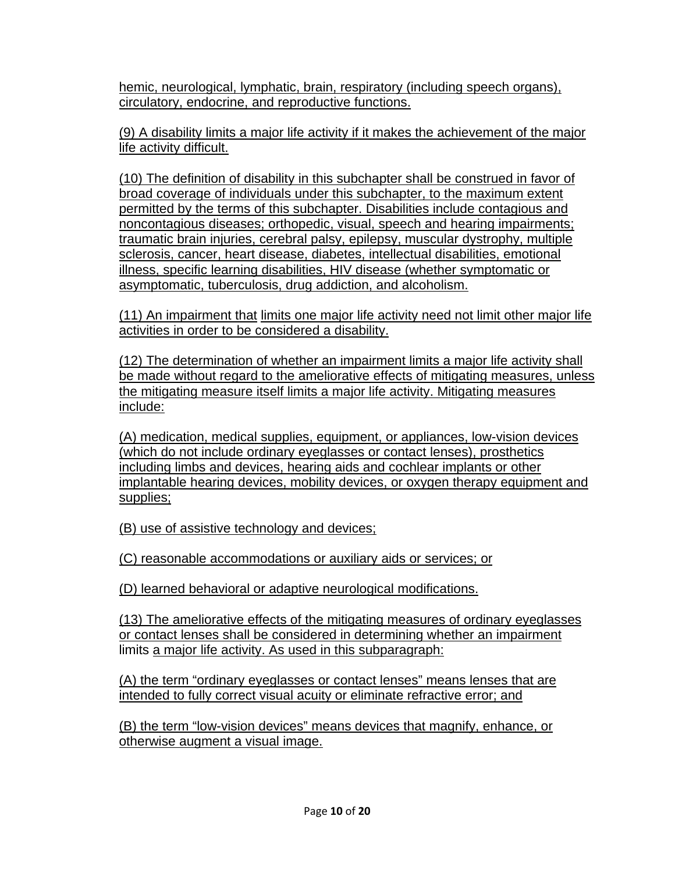hemic, neurological, lymphatic, brain, respiratory (including speech organs), circulatory, endocrine, and reproductive functions.

(9) A disability limits a major life activity if it makes the achievement of the major life activity difficult.

(10) The definition of disability in this subchapter shall be construed in favor of broad coverage of individuals under this subchapter, to the maximum extent permitted by the terms of this subchapter. Disabilities include contagious and noncontagious diseases; orthopedic, visual, speech and hearing impairments; traumatic brain injuries, cerebral palsy, epilepsy, muscular dystrophy, multiple sclerosis, cancer, heart disease, diabetes, intellectual disabilities, emotional illness, specific learning disabilities, HIV disease (whether symptomatic or asymptomatic, tuberculosis, drug addiction, and alcoholism.

(11) An impairment that limits one major life activity need not limit other major life activities in order to be considered a disability.

(12) The determination of whether an impairment limits a major life activity shall be made without regard to the ameliorative effects of mitigating measures, unless the mitigating measure itself limits a major life activity. Mitigating measures include:

(A) medication, medical supplies, equipment, or appliances, low-vision devices (which do not include ordinary eyeglasses or contact lenses), prosthetics including limbs and devices, hearing aids and cochlear implants or other implantable hearing devices, mobility devices, or oxygen therapy equipment and supplies;

(B) use of assistive technology and devices;

(C) reasonable accommodations or auxiliary aids or services; or

(D) learned behavioral or adaptive neurological modifications.

(13) The ameliorative effects of the mitigating measures of ordinary eyeglasses or contact lenses shall be considered in determining whether an impairment limits a major life activity. As used in this subparagraph:

(A) the term "ordinary eyeglasses or contact lenses" means lenses that are intended to fully correct visual acuity or eliminate refractive error; and

(B) the term "low-vision devices" means devices that magnify, enhance, or otherwise augment a visual image.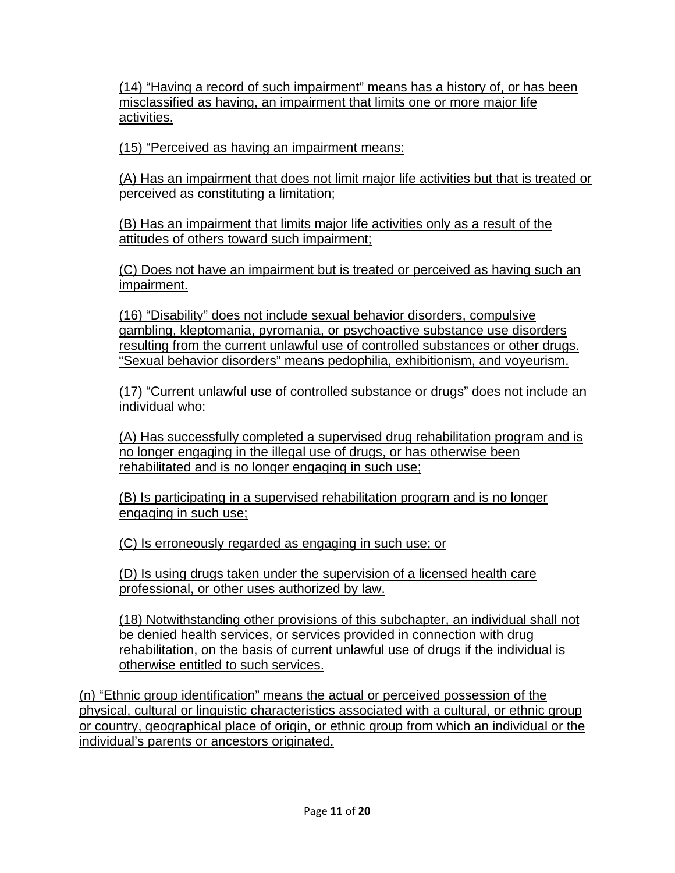(14) "Having a record of such impairment" means has a history of, or has been misclassified as having, an impairment that limits one or more major life activities.

(15) "Perceived as having an impairment means:

(A) Has an impairment that does not limit major life activities but that is treated or perceived as constituting a limitation;

(B) Has an impairment that limits major life activities only as a result of the attitudes of others toward such impairment;

(C) Does not have an impairment but is treated or perceived as having such an impairment.

(16) "Disability" does not include sexual behavior disorders, compulsive gambling, kleptomania, pyromania, or psychoactive substance use disorders resulting from the current unlawful use of controlled substances or other drugs. "Sexual behavior disorders" means pedophilia, exhibitionism, and voyeurism.

(17) "Current unlawful use of controlled substance or drugs" does not include an individual who:

(A) Has successfully completed a supervised drug rehabilitation program and is no longer engaging in the illegal use of drugs, or has otherwise been rehabilitated and is no longer engaging in such use;

(B) Is participating in a supervised rehabilitation program and is no longer engaging in such use;

(C) Is erroneously regarded as engaging in such use; or

(D) Is using drugs taken under the supervision of a licensed health care professional, or other uses authorized by law.

(18) Notwithstanding other provisions of this subchapter, an individual shall not be denied health services, or services provided in connection with drug rehabilitation, on the basis of current unlawful use of drugs if the individual is otherwise entitled to such services.

(n) "Ethnic group identification" means the actual or perceived possession of the physical, cultural or linguistic characteristics associated with a cultural, or ethnic group or country, geographical place of origin, or ethnic group from which an individual or the individual's parents or ancestors originated.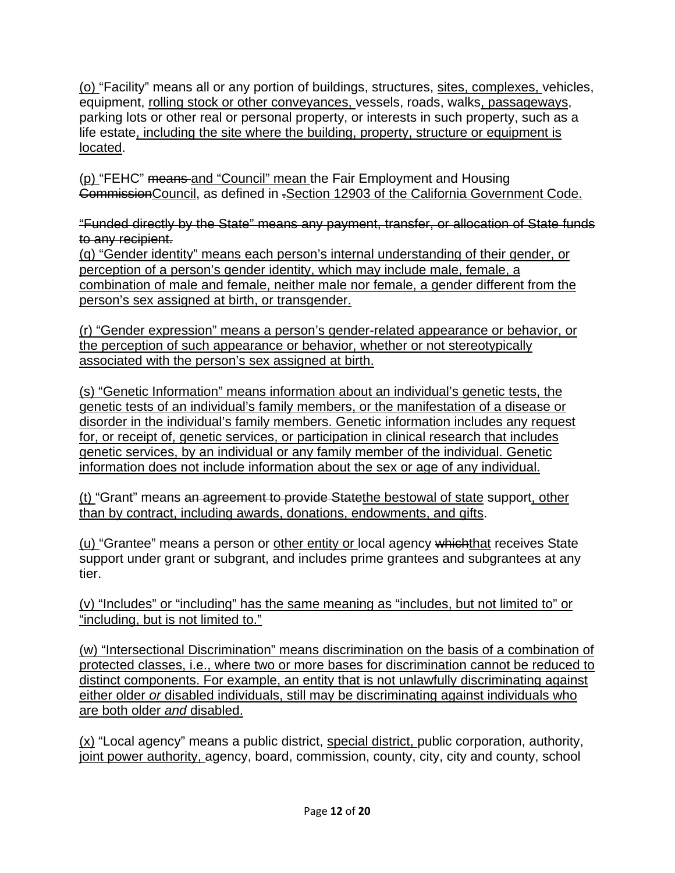(o) "Facility" means all or any portion of buildings, structures, sites, complexes, vehicles, equipment, rolling stock or other conveyances, vessels, roads, walks, passageways, parking lots or other real or personal property, or interests in such property, such as a life estate, including the site where the building, property, structure or equipment is located.

(p) "FEHC" means and "Council" mean the Fair Employment and Housing CommissionCouncil, as defined in .Section 12903 of the California Government Code.

"Funded directly by the State" means any payment, transfer, or allocation of State funds to any recipient.

(q) "Gender identity" means each person's internal understanding of their gender, or perception of a person's gender identity, which may include male, female, a combination of male and female, neither male nor female, a gender different from the person's sex assigned at birth, or transgender.

(r) "Gender expression" means a person's gender-related appearance or behavior, or the perception of such appearance or behavior, whether or not stereotypically associated with the person's sex assigned at birth.

(s) "Genetic Information" means information about an individual's genetic tests, the genetic tests of an individual's family members, or the manifestation of a disease or disorder in the individual's family members. Genetic information includes any request for, or receipt of, genetic services, or participation in clinical research that includes genetic services, by an individual or any family member of the individual. Genetic information does not include information about the sex or age of any individual.

(t) "Grant" means an agreement to provide Statethe bestowal of state support, other than by contract, including awards, donations, endowments, and gifts.

(u) "Grantee" means a person or other entity or local agency whichthat receives State support under grant or subgrant, and includes prime grantees and subgrantees at any tier.

(v) "Includes" or "including" has the same meaning as "includes, but not limited to" or "including, but is not limited to."

(w) "Intersectional Discrimination" means discrimination on the basis of a combination of protected classes, i.e., where two or more bases for discrimination cannot be reduced to distinct components. For example, an entity that is not unlawfully discriminating against either older *or* disabled individuals, still may be discriminating against individuals who are both older *and* disabled.

(x) "Local agency" means a public district, special district, public corporation, authority, joint power authority, agency, board, commission, county, city, city and county, school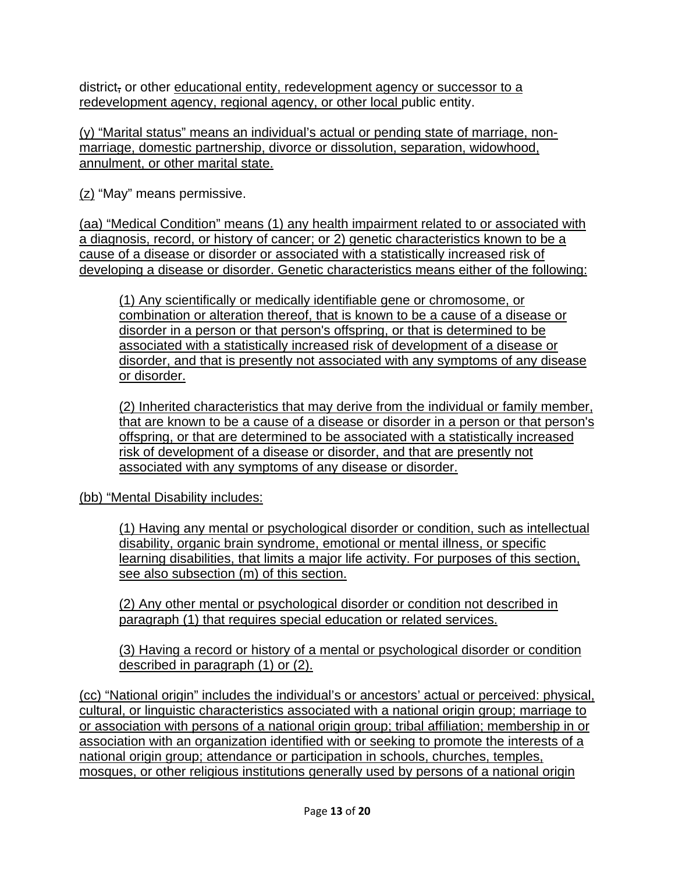district, or other educational entity, redevelopment agency or successor to a redevelopment agency, regional agency, or other local public entity.

(y) "Marital status" means an individual's actual or pending state of marriage, nonmarriage, domestic partnership, divorce or dissolution, separation, widowhood, annulment, or other marital state.

(z) "May" means permissive.

(aa) "Medical Condition" means (1) any health impairment related to or associated with a diagnosis, record, or history of cancer; or 2) genetic characteristics known to be a cause of a disease or disorder or associated with a statistically increased risk of developing a disease or disorder. Genetic characteristics means either of the following:

(1) Any scientifically or medically identifiable gene or chromosome, or combination or alteration thereof, that is known to be a cause of a disease or disorder in a person or that person's offspring, or that is determined to be associated with a statistically increased risk of development of a disease or disorder, and that is presently not associated with any symptoms of any disease or disorder.

(2) Inherited characteristics that may derive from the individual or family member, that are known to be a cause of a disease or disorder in a person or that person's offspring, or that are determined to be associated with a statistically increased risk of development of a disease or disorder, and that are presently not associated with any symptoms of any disease or disorder.

(bb) "Mental Disability includes:

(1) Having any mental or psychological disorder or condition, such as intellectual disability, organic brain syndrome, emotional or mental illness, or specific learning disabilities, that limits a major life activity. For purposes of this section, see also subsection (m) of this section.

(2) Any other mental or psychological disorder or condition not described in paragraph (1) that requires special education or related services.

(3) Having a record or history of a mental or psychological disorder or condition described in paragraph (1) or (2).

(cc) "National origin" includes the individual's or ancestors' actual or perceived: physical, cultural, or linguistic characteristics associated with a national origin group; marriage to or association with persons of a national origin group; tribal affiliation; membership in or association with an organization identified with or seeking to promote the interests of a national origin group; attendance or participation in schools, churches, temples, mosques, or other religious institutions generally used by persons of a national origin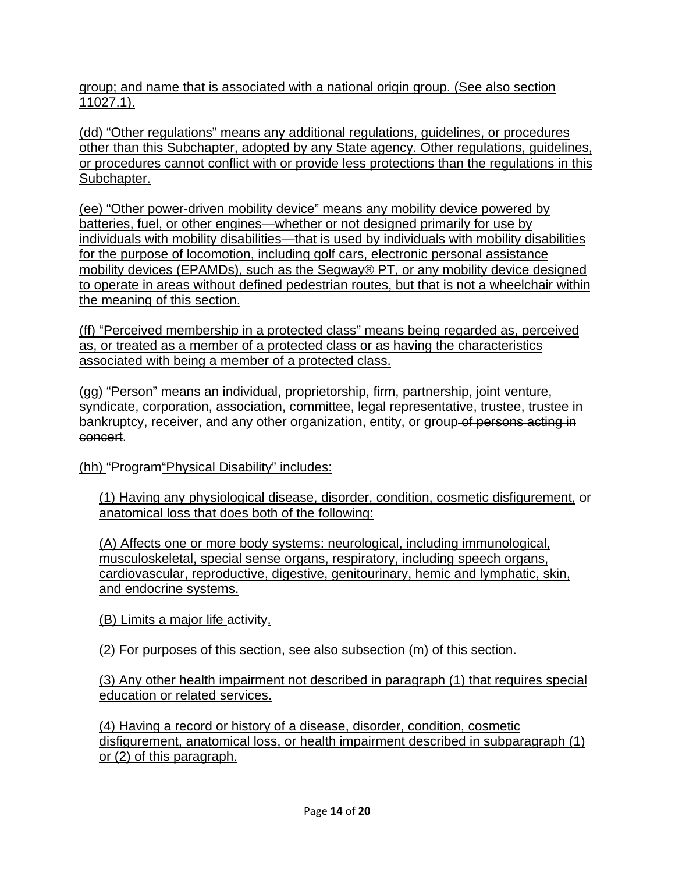group; and name that is associated with a national origin group. (See also section 11027.1).

(dd) "Other regulations" means any additional regulations, guidelines, or procedures other than this Subchapter, adopted by any State agency. Other regulations, guidelines, or procedures cannot conflict with or provide less protections than the regulations in this Subchapter.

(ee) "Other power-driven mobility device" means any mobility device powered by batteries, fuel, or other engines—whether or not designed primarily for use by individuals with mobility disabilities—that is used by individuals with mobility disabilities for the purpose of locomotion, including golf cars, electronic personal assistance mobility devices (EPAMDs), such as the Segway® PT, or any mobility device designed to operate in areas without defined pedestrian routes, but that is not a wheelchair within the meaning of this section.

(ff) "Perceived membership in a protected class" means being regarded as, perceived as, or treated as a member of a protected class or as having the characteristics associated with being a member of a protected class.

(gg) "Person" means an individual, proprietorship, firm, partnership, joint venture, syndicate, corporation, association, committee, legal representative, trustee, trustee in bankruptcy, receiver, and any other organization, entity, or group of persons acting in concert.

(hh) "Program"Physical Disability" includes:

(1) Having any physiological disease, disorder, condition, cosmetic disfigurement, or anatomical loss that does both of the following:

(A) Affects one or more body systems: neurological, including immunological, musculoskeletal, special sense organs, respiratory, including speech organs, cardiovascular, reproductive, digestive, genitourinary, hemic and lymphatic, skin, and endocrine systems.

(B) Limits a major life activity.

(2) For purposes of this section, see also subsection (m) of this section.

(3) Any other health impairment not described in paragraph (1) that requires special education or related services.

(4) Having a record or history of a disease, disorder, condition, cosmetic disfigurement, anatomical loss, or health impairment described in subparagraph (1) or (2) of this paragraph.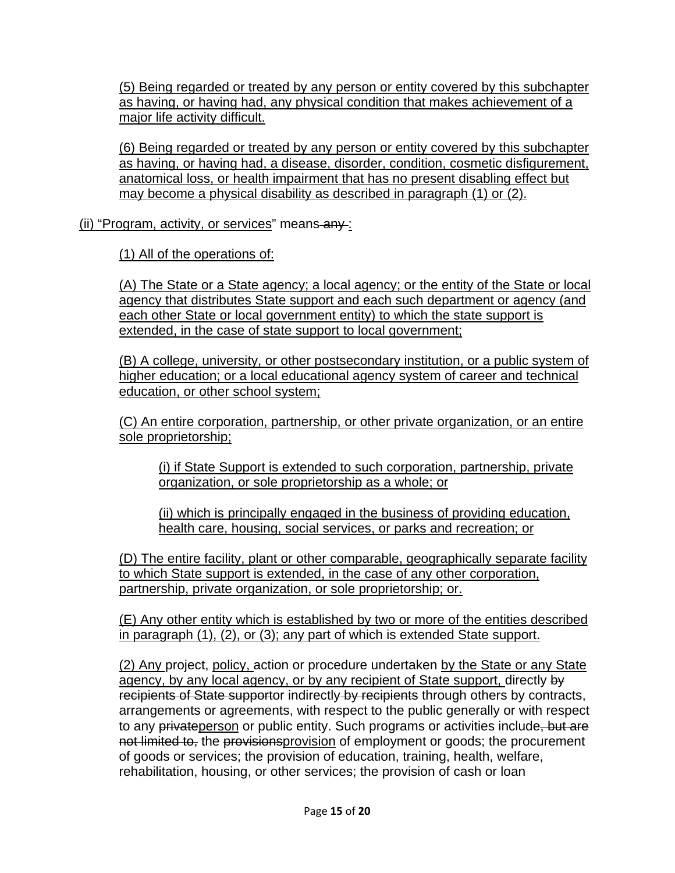(5) Being regarded or treated by any person or entity covered by this subchapter as having, or having had, any physical condition that makes achievement of a major life activity difficult.

(6) Being regarded or treated by any person or entity covered by this subchapter as having, or having had, a disease, disorder, condition, cosmetic disfigurement, anatomical loss, or health impairment that has no present disabling effect but may become a physical disability as described in paragraph (1) or (2).

(ii) "Program, activity, or services" means any :

(1) All of the operations of:

(A) The State or a State agency; a local agency; or the entity of the State or local agency that distributes State support and each such department or agency (and each other State or local government entity) to which the state support is extended, in the case of state support to local government;

(B) A college, university, or other postsecondary institution, or a public system of higher education; or a local educational agency system of career and technical education, or other school system;

(C) An entire corporation, partnership, or other private organization, or an entire sole proprietorship;

(i) if State Support is extended to such corporation, partnership, private organization, or sole proprietorship as a whole; or

(ii) which is principally engaged in the business of providing education, health care, housing, social services, or parks and recreation; or

(D) The entire facility, plant or other comparable, geographically separate facility to which State support is extended, in the case of any other corporation, partnership, private organization, or sole proprietorship; or.

(E) Any other entity which is established by two or more of the entities described in paragraph (1), (2), or (3); any part of which is extended State support.

(2) Any project, policy, action or procedure undertaken by the State or any State agency, by any local agency, or by any recipient of State support, directly by recipients of State supportor indirectly by recipients through others by contracts, arrangements or agreements, with respect to the public generally or with respect to any privateperson or public entity. Such programs or activities include, but are not limited to, the provisionsprovision of employment or goods; the procurement of goods or services; the provision of education, training, health, welfare, rehabilitation, housing, or other services; the provision of cash or loan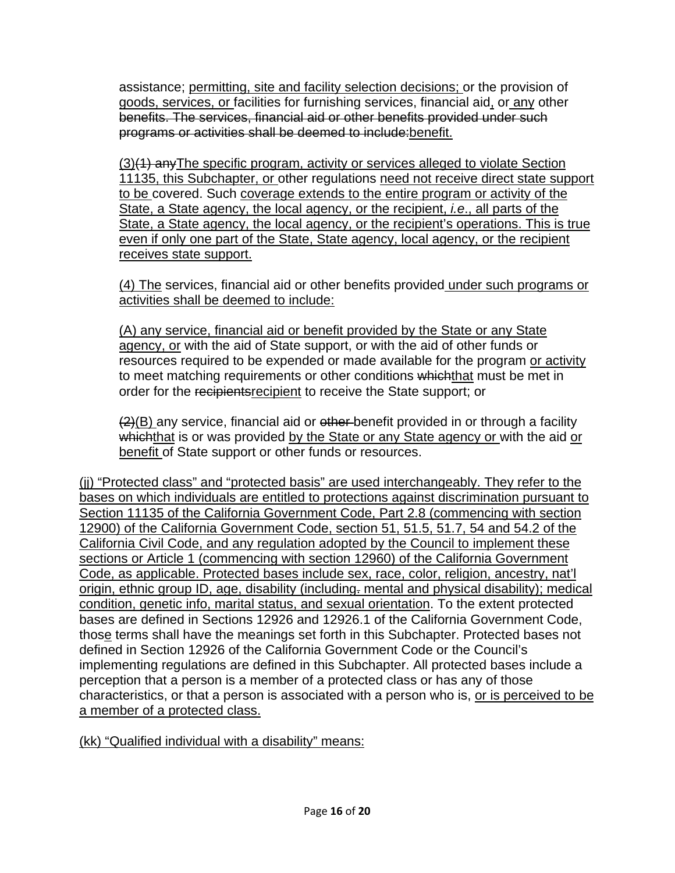assistance; permitting, site and facility selection decisions; or the provision of goods, services, or facilities for furnishing services, financial aid, or any other benefits. The services, financial aid or other benefits provided under such programs or activities shall be deemed to include:benefit.

(3)(1) anyThe specific program, activity or services alleged to violate Section 11135, this Subchapter, or other regulations need not receive direct state support to be covered. Such coverage extends to the entire program or activity of the State, a State agency, the local agency, or the recipient, *i.e*., all parts of the State, a State agency, the local agency, or the recipient's operations. This is true even if only one part of the State, State agency, local agency, or the recipient receives state support.

(4) The services, financial aid or other benefits provided under such programs or activities shall be deemed to include:

(A) any service, financial aid or benefit provided by the State or any State agency, or with the aid of State support, or with the aid of other funds or resources required to be expended or made available for the program or activity to meet matching requirements or other conditions whichthat must be met in order for the recipients recipient to receive the State support; or

 $(2)(B)$  any service, financial aid or ether-benefit provided in or through a facility whichthat is or was provided by the State or any State agency or with the aid or benefit of State support or other funds or resources.

(jj) "Protected class" and "protected basis" are used interchangeably. They refer to the bases on which individuals are entitled to protections against discrimination pursuant to Section 11135 of the California Government Code, Part 2.8 (commencing with section 12900) of the California Government Code, section 51, 51.5, 51.7, 54 and 54.2 of the California Civil Code, and any regulation adopted by the Council to implement these sections or Article 1 (commencing with section 12960) of the California Government Code, as applicable. Protected bases include sex, race, color, religion, ancestry, nat'l origin, ethnic group ID, age, disability (including. mental and physical disability); medical condition, genetic info, marital status, and sexual orientation. To the extent protected bases are defined in Sections 12926 and 12926.1 of the California Government Code, those terms shall have the meanings set forth in this Subchapter. Protected bases not defined in Section 12926 of the California Government Code or the Council's implementing regulations are defined in this Subchapter. All protected bases include a perception that a person is a member of a protected class or has any of those characteristics, or that a person is associated with a person who is, or is perceived to be a member of a protected class.

(kk) "Qualified individual with a disability" means: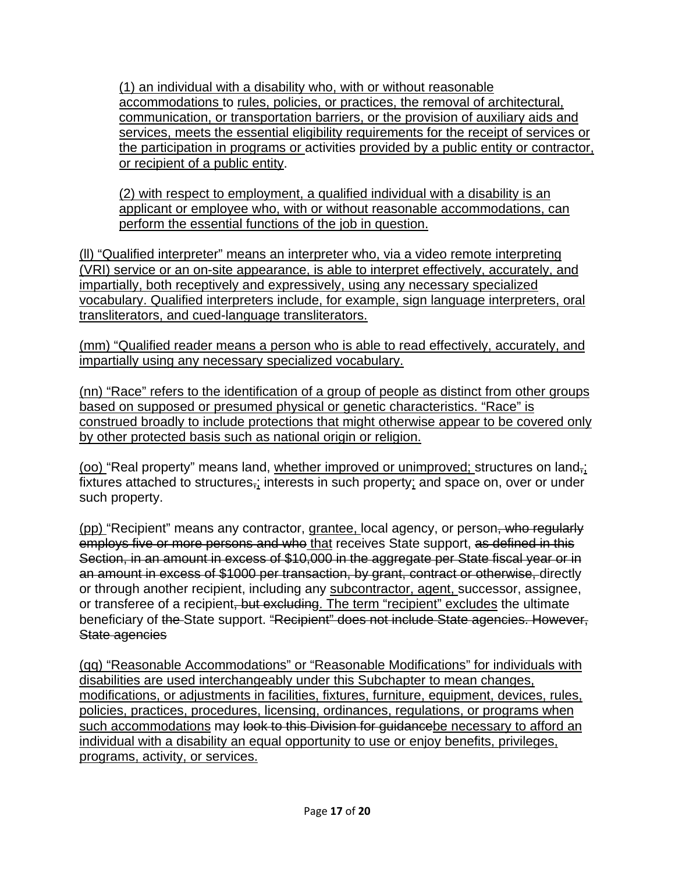(1) an individual with a disability who, with or without reasonable accommodations to rules, policies, or practices, the removal of architectural, communication, or transportation barriers, or the provision of auxiliary aids and services, meets the essential eligibility requirements for the receipt of services or the participation in programs or activities provided by a public entity or contractor, or recipient of a public entity.

(2) with respect to employment, a qualified individual with a disability is an applicant or employee who, with or without reasonable accommodations, can perform the essential functions of the job in question.

(ll) "Qualified interpreter" means an interpreter who, via a video remote interpreting (VRI) service or an on-site appearance, is able to interpret effectively, accurately, and impartially, both receptively and expressively, using any necessary specialized vocabulary. Qualified interpreters include, for example, sign language interpreters, oral transliterators, and cued-language transliterators.

(mm) "Qualified reader means a person who is able to read effectively, accurately, and impartially using any necessary specialized vocabulary.

(nn) "Race" refers to the identification of a group of people as distinct from other groups based on supposed or presumed physical or genetic characteristics. "Race" is construed broadly to include protections that might otherwise appear to be covered only by other protected basis such as national origin or religion.

(oo) "Real property" means land, whether improved or unimproved; structures on land,; fixtures attached to structures $\frac{1}{2}$  interests in such property; and space on, over or under such property.

(pp) "Recipient" means any contractor, grantee, local agency, or person, who regularly employs five or more persons and who that receives State support, as defined in this Section, in an amount in excess of \$10,000 in the aggregate per State fiscal year or in an amount in excess of \$1000 per transaction, by grant, contract or otherwise, directly or through another recipient, including any subcontractor, agent, successor, assignee, or transferee of a recipient, but excluding. The term "recipient" excludes the ultimate beneficiary of the State support. "Recipient" does not include State agencies. However, State agencies

(qq) "Reasonable Accommodations" or "Reasonable Modifications" for individuals with disabilities are used interchangeably under this Subchapter to mean changes, modifications, or adjustments in facilities, fixtures, furniture, equipment, devices, rules, policies, practices, procedures, licensing, ordinances, regulations, or programs when such accommodations may look to this Division for guidancebe necessary to afford an individual with a disability an equal opportunity to use or enjoy benefits, privileges, programs, activity, or services.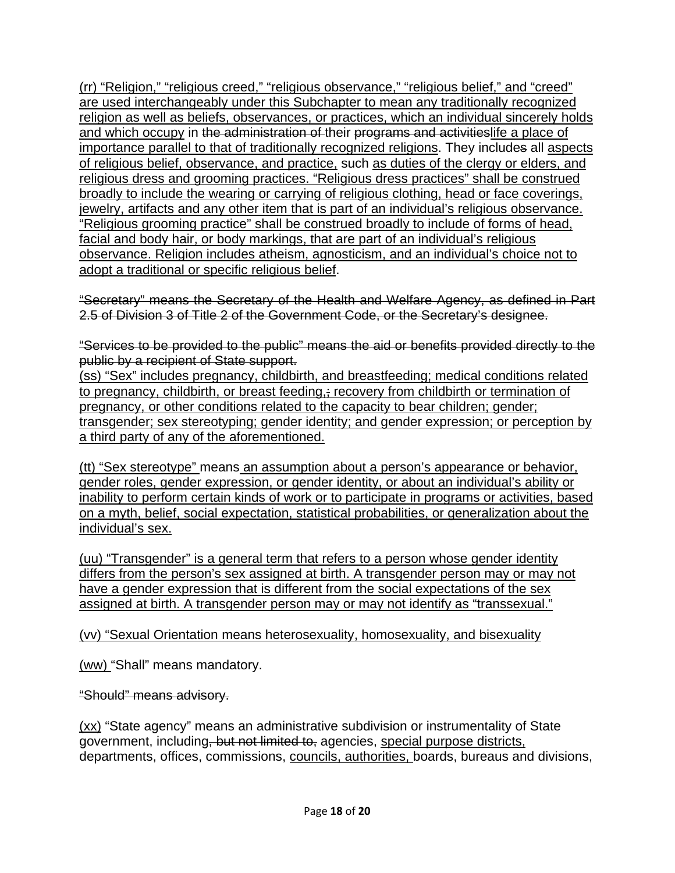(rr) "Religion," "religious creed," "religious observance," "religious belief," and "creed" are used interchangeably under this Subchapter to mean any traditionally recognized religion as well as beliefs, observances, or practices, which an individual sincerely holds and which occupy in the administration of their programs and activitieslife a place of importance parallel to that of traditionally recognized religions. They includes all aspects of religious belief, observance, and practice, such as duties of the clergy or elders, and religious dress and grooming practices. "Religious dress practices" shall be construed broadly to include the wearing or carrying of religious clothing, head or face coverings, jewelry, artifacts and any other item that is part of an individual's religious observance. "Religious grooming practice" shall be construed broadly to include of forms of head, facial and body hair, or body markings, that are part of an individual's religious observance. Religion includes atheism, agnosticism, and an individual's choice not to adopt a traditional or specific religious belief.

"Secretary" means the Secretary of the Health and Welfare Agency, as defined in Part 2.5 of Division 3 of Title 2 of the Government Code, or the Secretary's designee.

"Services to be provided to the public" means the aid or benefits provided directly to the public by a recipient of State support.

(ss) "Sex" includes pregnancy, childbirth, and breastfeeding; medical conditions related to pregnancy, childbirth, or breast feeding, recovery from childbirth or termination of pregnancy, or other conditions related to the capacity to bear children; gender; transgender; sex stereotyping; gender identity; and gender expression; or perception by a third party of any of the aforementioned.

(tt) "Sex stereotype" means an assumption about a person's appearance or behavior, gender roles, gender expression, or gender identity, or about an individual's ability or inability to perform certain kinds of work or to participate in programs or activities, based on a myth, belief, social expectation, statistical probabilities, or generalization about the individual's sex.

(uu) "Transgender" is a general term that refers to a person whose gender identity differs from the person's sex assigned at birth. A transgender person may or may not have a gender expression that is different from the social expectations of the sex assigned at birth. A transgender person may or may not identify as "transsexual."

(vv) "Sexual Orientation means heterosexuality, homosexuality, and bisexuality

(ww) "Shall" means mandatory.

"Should" means advisory.

(xx) "State agency" means an administrative subdivision or instrumentality of State government, including, but not limited to, agencies, special purpose districts, departments, offices, commissions, councils, authorities, boards, bureaus and divisions,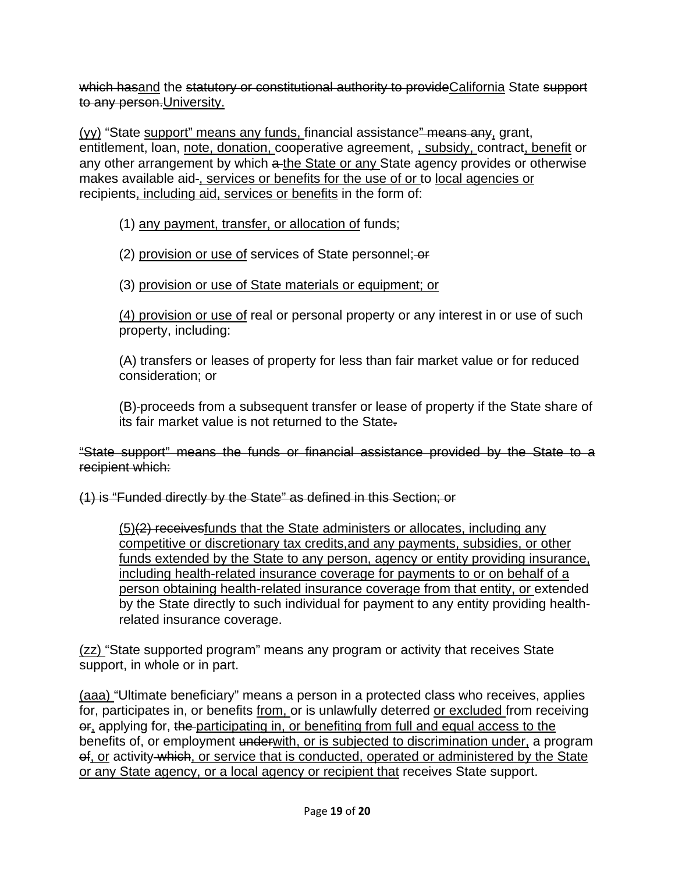which hasand the statutory or constitutional authority to provide California State support to any person. University.

(yy) "State support" means any funds, financial assistance" means any, grant, entitlement, loan, note, donation, cooperative agreement, subsidy, contract, benefit or any other arrangement by which a the State or any State agency provides or otherwise makes available aid-, services or benefits for the use of or to local agencies or recipients, including aid, services or benefits in the form of:

#### (1) any payment, transfer, or allocation of funds;

(2) provision or use of services of State personnel; or

#### (3) provision or use of State materials or equipment; or

(4) provision or use of real or personal property or any interest in or use of such property, including:

(A) transfers or leases of property for less than fair market value or for reduced consideration; or

(B) proceeds from a subsequent transfer or lease of property if the State share of its fair market value is not returned to the State.

"State support" means the funds or financial assistance provided by the State to a recipient which:

(1) is "Funded directly by the State" as defined in this Section; or

 $(5)(2)$  receives funds that the State administers or allocates, including any competitive or discretionary tax credits,and any payments, subsidies, or other funds extended by the State to any person, agency or entity providing insurance, including health-related insurance coverage for payments to or on behalf of a person obtaining health-related insurance coverage from that entity, or extended by the State directly to such individual for payment to any entity providing healthrelated insurance coverage.

(zz) "State supported program" means any program or activity that receives State support, in whole or in part.

(aaa) "Ultimate beneficiary" means a person in a protected class who receives, applies for, participates in, or benefits from, or is unlawfully deterred or excluded from receiving or, applying for, the participating in, or benefiting from full and equal access to the benefits of, or employment underwith, or is subjected to discrimination under, a program of, or activity which, or service that is conducted, operated or administered by the State or any State agency, or a local agency or recipient that receives State support.